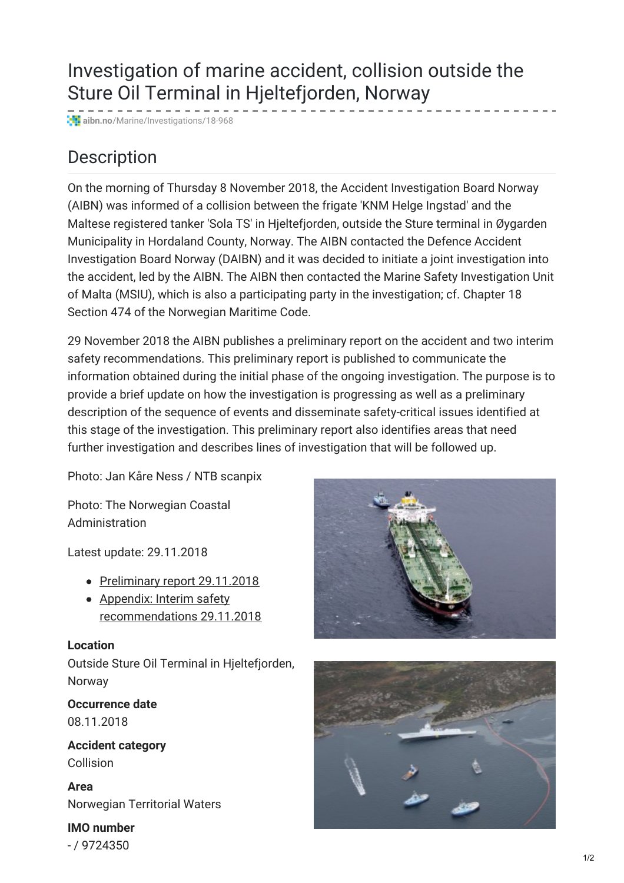# Investigation of marine accident, collision outside the Sture Oil Terminal in Hjeltefjorden, Norway

**aibn.no**[/Marine/Investigations/18-968](https://www.aibn.no/Marine/Investigations/18-968)

## Description

On the morning of Thursday 8 November 2018, the Accident Investigation Board Norway (AIBN) was informed of a collision between the frigate 'KNM Helge Ingstad' and the Maltese registered tanker 'Sola TS' in Hjeltefjorden, outside the Sture terminal in Øygarden Municipality in Hordaland County, Norway. The AIBN contacted the Defence Accident Investigation Board Norway (DAIBN) and it was decided to initiate a joint investigation into the accident, led by the AIBN. The AIBN then contacted the Marine Safety Investigation Unit of Malta (MSIU), which is also a participating party in the investigation; cf. Chapter 18 Section 474 of the Norwegian Maritime Code.

29 November 2018 the AIBN publishes a preliminary report on the accident and two interim safety recommendations. This preliminary report is published to communicate the information obtained during the initial phase of the ongoing investigation. The purpose is to provide a brief update on how the investigation is progressing as well as a preliminary description of the sequence of events and disseminate safety-critical issues identified at this stage of the investigation. This preliminary report also identifies areas that need further investigation and describes lines of investigation that will be followed up.

Photo: Jan Kåre Ness / NTB scanpix

Photo: The Norwegian Coastal Administration

Latest update: 29.11.2018

- [Preliminary](https://www.aibn.no/Marine/Investigations/18-968?iid=25573&pid=SHT-Report-Attachments.Native-InnerFile-File&attach=1) report 29.11.2018
- Appendix: Interim safety [recommendations](https://www.aibn.no/Marine/Investigations/18-968?iid=25575&pid=SHT-Report-Attachments.Native-InnerFile-File&attach=1) 29.11.2018

#### **Location**

Outside Sture Oil Terminal in Hjeltefjorden, Norway

**Occurrence date** 08.11.2018

**Accident category** Collision

**Area** Norwegian Territorial Waters

**IMO number** - / 9724350